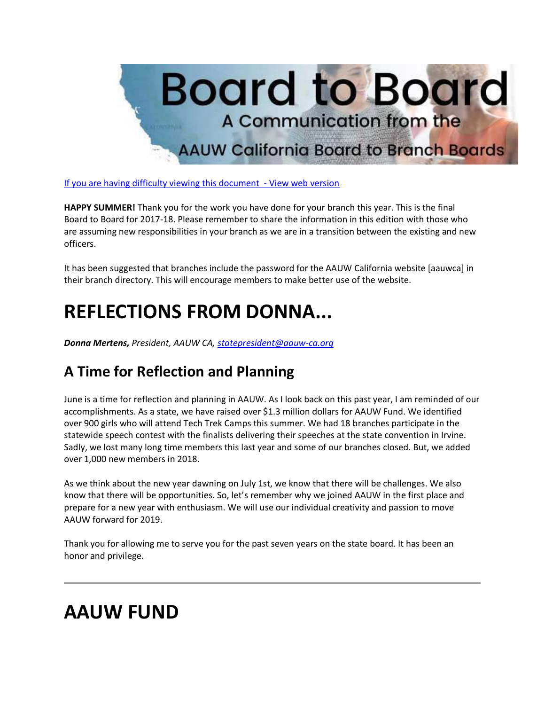

[If you are having difficulty viewing this document -](https://bor.aauw-ca.org/sendy/w/YlrJ763AeyF892b51vFm0EptRw/4FDFL4S593H7oWC6rDwDxg/k71Iw7oCypHQxTaidPwM5w) View web version

**HAPPY SUMMER!** Thank you for the work you have done for your branch this year. This is the final Board to Board for 2017-18. Please remember to share the information in this edition with those who are assuming new responsibilities in your branch as we are in a transition between the existing and new officers.

It has been suggested that branches include the password for the AAUW California website [aauwca] in their branch directory. This will encourage members to make better use of the website.

# **REFLECTIONS FROM DONNA...**

*Donna Mertens, President, AAUW CA, [statepresident@aauw-ca.org](mailto:statepresident@aauw-ca.org)*

#### **A Time for Reflection and Planning**

June is a time for reflection and planning in AAUW. As I look back on this past year, I am reminded of our accomplishments. As a state, we have raised over \$1.3 million dollars for AAUW Fund. We identified over 900 girls who will attend Tech Trek Camps this summer. We had 18 branches participate in the statewide speech contest with the finalists delivering their speeches at the state convention in Irvine. Sadly, we lost many long time members this last year and some of our branches closed. But, we added over 1,000 new members in 2018.

As we think about the new year dawning on July 1st, we know that there will be challenges. We also know that there will be opportunities. So, let's remember why we joined AAUW in the first place and prepare for a new year with enthusiasm. We will use our individual creativity and passion to move AAUW forward for 2019.

Thank you for allowing me to serve you for the past seven years on the state board. It has been an honor and privilege.

## **AAUW FUND**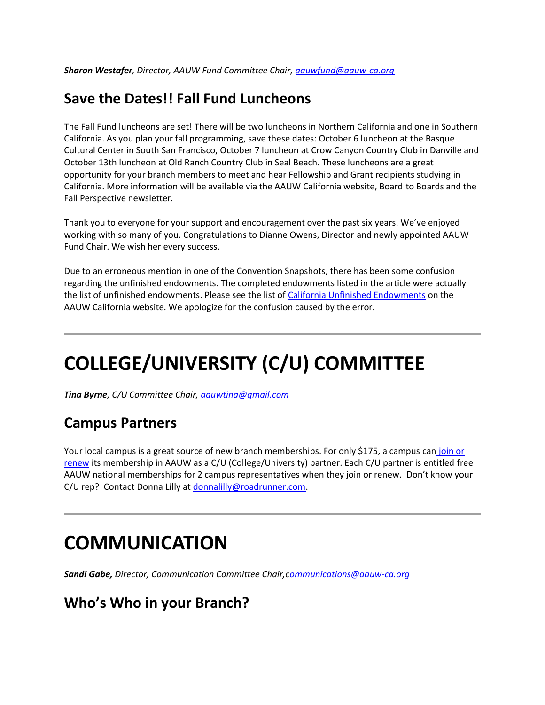#### **Save the Dates!! Fall Fund Luncheons**

The Fall Fund luncheons are set! There will be two luncheons in Northern California and one in Southern California. As you plan your fall programming, save these dates: October 6 luncheon at the Basque Cultural Center in South San Francisco, October 7 luncheon at Crow Canyon Country Club in Danville and October 13th luncheon at Old Ranch Country Club in Seal Beach. These luncheons are a great opportunity for your branch members to meet and hear Fellowship and Grant recipients studying in California. More information will be available via the AAUW California website, Board to Boards and the Fall Perspective newsletter.

Thank you to everyone for your support and encouragement over the past six years. We've enjoyed working with so many of you. Congratulations to Dianne Owens, Director and newly appointed AAUW Fund Chair. We wish her every success.

Due to an erroneous mention in one of the Convention Snapshots, there has been some confusion regarding the unfinished endowments. The completed endowments listed in the article were actually the list of unfinished endowments. Please see the list of [California Unfinished Endowments](https://bor.aauw-ca.org/sendy/l/YlrJ763AeyF892b51vFm0EptRw/B892B5s2sW2j763jGl4bbFKV1g/k71Iw7oCypHQxTaidPwM5w) on the AAUW California website. We apologize for the confusion caused by the error.

# **COLLEGE/UNIVERSITY (C/U) COMMITTEE**

*Tina Byrne, C/U Committee Chair[, aauwtina@gmail.com](mailto:aauwtina@gmail.com)*

#### **Campus Partners**

Your local campus is a great source of new branch memberships. For only \$175, a campus can join or [renew](https://bor.aauw-ca.org/sendy/l/YlrJ763AeyF892b51vFm0EptRw/tv0QoeMIOQfpQpEyy5GJ9g/k71Iw7oCypHQxTaidPwM5w) its membership in AAUW as a C/U (College/University) partner. Each C/U partner is entitled free AAUW national memberships for 2 campus representatives when they join or renew. Don't know your C/U rep? Contact Donna Lilly at [donnalilly@roadrunner.com.](mailto:donnalilly@roadrunner.com)

### **COMMUNICATION**

*Sandi Gabe, Director, Communication Committee Chair,[communications@aauw-ca.org](mailto:Communications@aauw-ca.org)*

#### **Who's Who in your Branch?**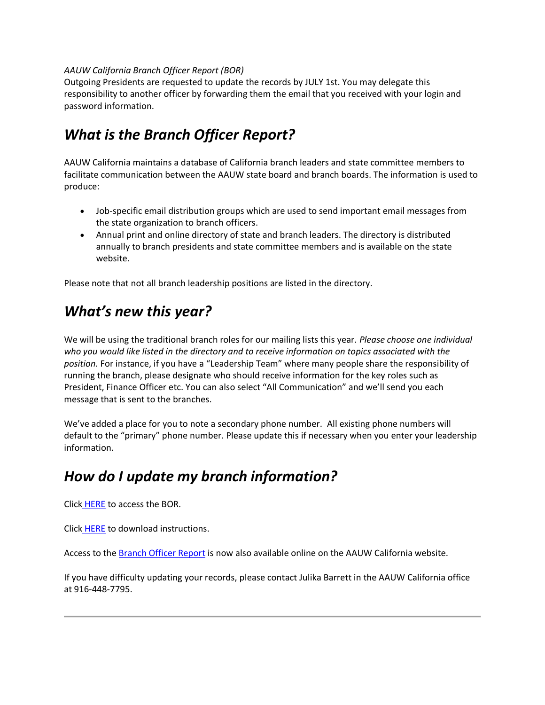#### *AAUW California Branch Officer Report (BOR)*

Outgoing Presidents are requested to update the records by JULY 1st. You may delegate this responsibility to another officer by forwarding them the email that you received with your login and password information.

### *What is the Branch Officer Report?*

AAUW California maintains a database of California branch leaders and state committee members to facilitate communication between the AAUW state board and branch boards. The information is used to produce:

- Job-specific email distribution groups which are used to send important email messages from the state organization to branch officers.
- Annual print and online directory of state and branch leaders. The directory is distributed annually to branch presidents and state committee members and is available on the state website.

Please note that not all branch leadership positions are listed in the directory.

### *What's new this year?*

We will be using the traditional branch roles for our mailing lists this year. *Please choose one individual who you would like listed in the directory and to receive information on topics associated with the position.* For instance, if you have a "Leadership Team" where many people share the responsibility of running the branch, please designate who should receive information for the key roles such as President, Finance Officer etc. You can also select "All Communication" and we'll send you each message that is sent to the branches.

We've added a place for you to note a secondary phone number. All existing phone numbers will default to the "primary" phone number. Please update this if necessary when you enter your leadership information.

#### *How do I update my branch information?*

Click [HERE](https://bor.aauw-ca.org/sendy/l/YlrJ763AeyF892b51vFm0EptRw/7pNeHNyOog00Pw4TDBM07g/k71Iw7oCypHQxTaidPwM5w) to access the BOR.

Click [HERE](https://bor.aauw-ca.org/sendy/l/YlrJ763AeyF892b51vFm0EptRw/CqnEf3Y4beq3763WkX2nrNFQ/k71Iw7oCypHQxTaidPwM5w) to download instructions.

Access to the **Branch Officer Report** is now also available online on the AAUW California website.

If you have difficulty updating your records, please contact Julika Barrett in the AAUW California office at 916-448-7795.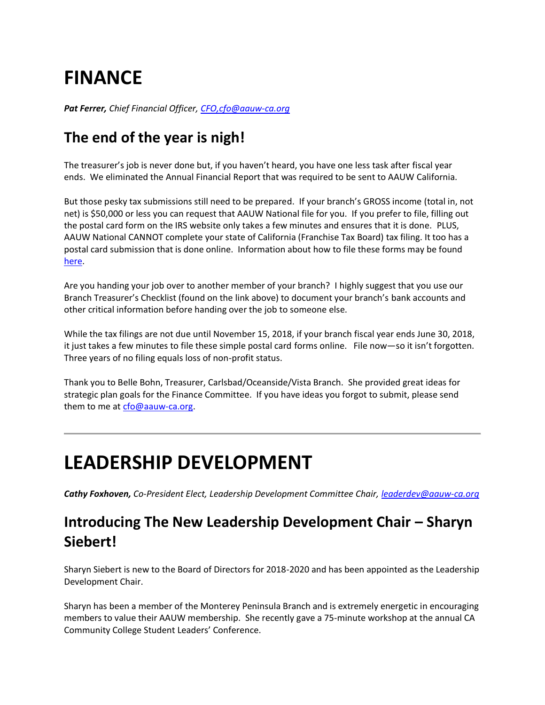# **FINANCE**

*Pat Ferrer, Chief Financial Officer, [CFO,cfo@aauw-ca.org](https://bor.aauw-ca.org/sendy/l/YlrJ763AeyF892b51vFm0EptRw/Q121Sm6qCyby1pOCxolIUg/k71Iw7oCypHQxTaidPwM5w)*

#### **The end of the year is nigh!**

The treasurer's job is never done but, if you haven't heard, you have one less task after fiscal year ends. We eliminated the Annual Financial Report that was required to be sent to AAUW California.

But those pesky tax submissions still need to be prepared. If your branch's GROSS income (total in, not net) is \$50,000 or less you can request that AAUW National file for you. If you prefer to file, filling out the postal card form on the IRS website only takes a few minutes and ensures that it is done. PLUS, AAUW National CANNOT complete your state of California (Franchise Tax Board) tax filing. It too has a postal card submission that is done online. Information about how to file these forms may be found [here.](https://bor.aauw-ca.org/sendy/l/YlrJ763AeyF892b51vFm0EptRw/ENGpjCYaMXbod4KJ8zUIfg/k71Iw7oCypHQxTaidPwM5w)

Are you handing your job over to another member of your branch? I highly suggest that you use our Branch Treasurer's Checklist (found on the link above) to document your branch's bank accounts and other critical information before handing over the job to someone else.

While the tax filings are not due until November 15, 2018, if your branch fiscal year ends June 30, 2018, it just takes a few minutes to file these simple postal card forms online. File now—so it isn't forgotten. Three years of no filing equals loss of non-profit status.

Thank you to Belle Bohn, Treasurer, Carlsbad/Oceanside/Vista Branch. She provided great ideas for strategic plan goals for the Finance Committee. If you have ideas you forgot to submit, please send them to me at [cfo@aauw-ca.org.](mailto:cfo@aauw-ca.org)

### **LEADERSHIP DEVELOPMENT**

*Cathy Foxhoven, Co-President Elect, Leadership Development Committee Chair, [leaderdev@aauw-ca.org](mailto:leaderdev@aauw-ca.org)*

#### **Introducing The New Leadership Development Chair – Sharyn Siebert!**

Sharyn Siebert is new to the Board of Directors for 2018-2020 and has been appointed as the Leadership Development Chair.

Sharyn has been a member of the Monterey Peninsula Branch and is extremely energetic in encouraging members to value their AAUW membership. She recently gave a 75-minute workshop at the annual CA Community College Student Leaders' Conference.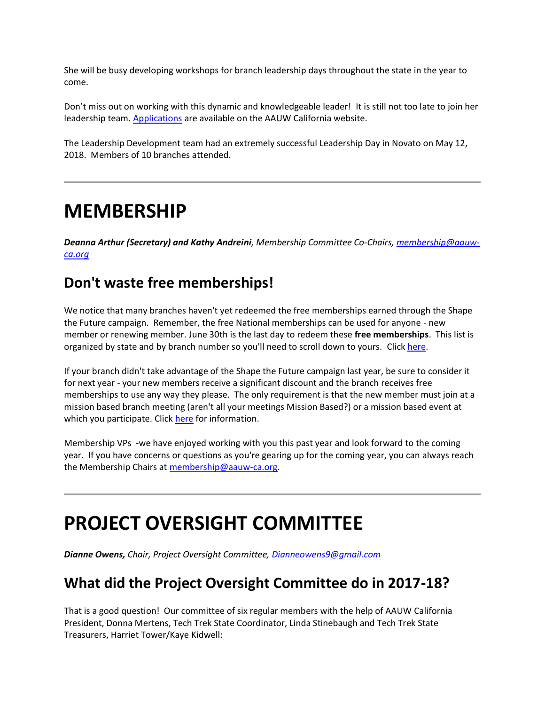She will be busy developing workshops for branch leadership days throughout the state in the year to come.

Don't miss out on working with this dynamic and knowledgeable leader! It is still not too late to join her leadership team. [Applications](https://bor.aauw-ca.org/sendy/l/YlrJ763AeyF892b51vFm0EptRw/hkDYm1ExSzLo72CIjPsDKw/k71Iw7oCypHQxTaidPwM5w) are available on the AAUW California website.

The Leadership Development team had an extremely successful Leadership Day in Novato on May 12, 2018. Members of 10 branches attended.

### **MEMBERSHIP**

*Deanna Arthur (Secretary) and Kathy Andreini, Membership Committee Co-Chairs[, membership@aauw](mailto:membership@aauw-ca.org)[ca.org](mailto:membership@aauw-ca.org)*

#### **Don't waste free memberships!**

We notice that many branches haven't yet redeemed the free memberships earned through the Shape the Future campaign. Remember, the free National memberships can be used for anyone - new member or renewing member. June 30th is the last day to redeem these **free memberships**. This list is organized by state and by branch number so you'll need to scroll down to yours. Click [here.](https://bor.aauw-ca.org/sendy/l/YlrJ763AeyF892b51vFm0EptRw/r31jeykwFMtTtjzxy4EIJg/k71Iw7oCypHQxTaidPwM5w)

If your branch didn't take advantage of the Shape the Future campaign last year, be sure to consider it for next year - your new members receive a significant discount and the branch receives free memberships to use any way they please. The only requirement is that the new member must join at a mission based branch meeting (aren't all your meetings Mission Based?) or a mission based event at which you participate. Click [here](https://bor.aauw-ca.org/sendy/l/YlrJ763AeyF892b51vFm0EptRw/IDnbTWOpgNVuLg5Svvowrw/k71Iw7oCypHQxTaidPwM5w) for information.

Membership VPs -we have enjoyed working with you this past year and look forward to the coming year. If you have concerns or questions as you're gearing up for the coming year, you can always reach the Membership Chairs at [membership@aauw-ca.org.](mailto:membership@aauw-ca.org)

## **PROJECT OVERSIGHT COMMITTEE**

*Dianne Owens, Chair, Project Oversight Committee, [Dianneowens9@gmail.com](mailto:Dianneowens9@gmail.com)*

#### **What did the Project Oversight Committee do in 2017-18?**

That is a good question! Our committee of six regular members with the help of AAUW California President, Donna Mertens, Tech Trek State Coordinator, Linda Stinebaugh and Tech Trek State Treasurers, Harriet Tower/Kaye Kidwell: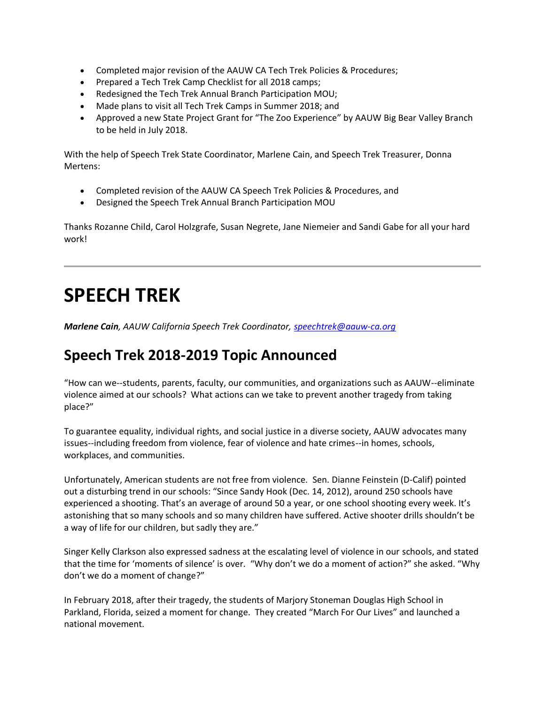- Completed major revision of the AAUW CA Tech Trek Policies & Procedures;
- Prepared a Tech Trek Camp Checklist for all 2018 camps;
- Redesigned the Tech Trek Annual Branch Participation MOU;
- Made plans to visit all Tech Trek Camps in Summer 2018; and
- Approved a new State Project Grant for "The Zoo Experience" by AAUW Big Bear Valley Branch to be held in July 2018.

With the help of Speech Trek State Coordinator, Marlene Cain, and Speech Trek Treasurer, Donna Mertens:

- Completed revision of the AAUW CA Speech Trek Policies & Procedures, and
- Designed the Speech Trek Annual Branch Participation MOU

Thanks Rozanne Child, Carol Holzgrafe, Susan Negrete, Jane Niemeier and Sandi Gabe for all your hard work!

# **SPEECH TREK**

*Marlene Cain, AAUW California Speech Trek Coordinator, [speechtrek@aauw-ca.org](mailto:speechtrek@aauw-ca.org)*

#### **Speech Trek 2018-2019 Topic Announced**

"How can we--students, parents, faculty, our communities, and organizations such as AAUW--eliminate violence aimed at our schools? What actions can we take to prevent another tragedy from taking place?"

To guarantee equality, individual rights, and social justice in a diverse society, AAUW advocates many issues--including freedom from violence, fear of violence and hate crimes--in homes, schools, workplaces, and communities.

Unfortunately, American students are not free from violence. Sen. Dianne Feinstein (D-Calif) pointed out a disturbing trend in our schools: "Since Sandy Hook (Dec. 14, 2012), around 250 schools have experienced a shooting. That's an average of around 50 a year, or one school shooting every week. It's astonishing that so many schools and so many children have suffered. Active shooter drills shouldn't be a way of life for our children, but sadly they are."

Singer Kelly Clarkson also expressed sadness at the escalating level of violence in our schools, and stated that the time for 'moments of silence' is over. "Why don't we do a moment of action?" she asked. "Why don't we do a moment of change?"

In February 2018, after their tragedy, the students of Marjory Stoneman Douglas High School in Parkland, Florida, seized a moment for change. They created "March For Our Lives" and launched a national movement.